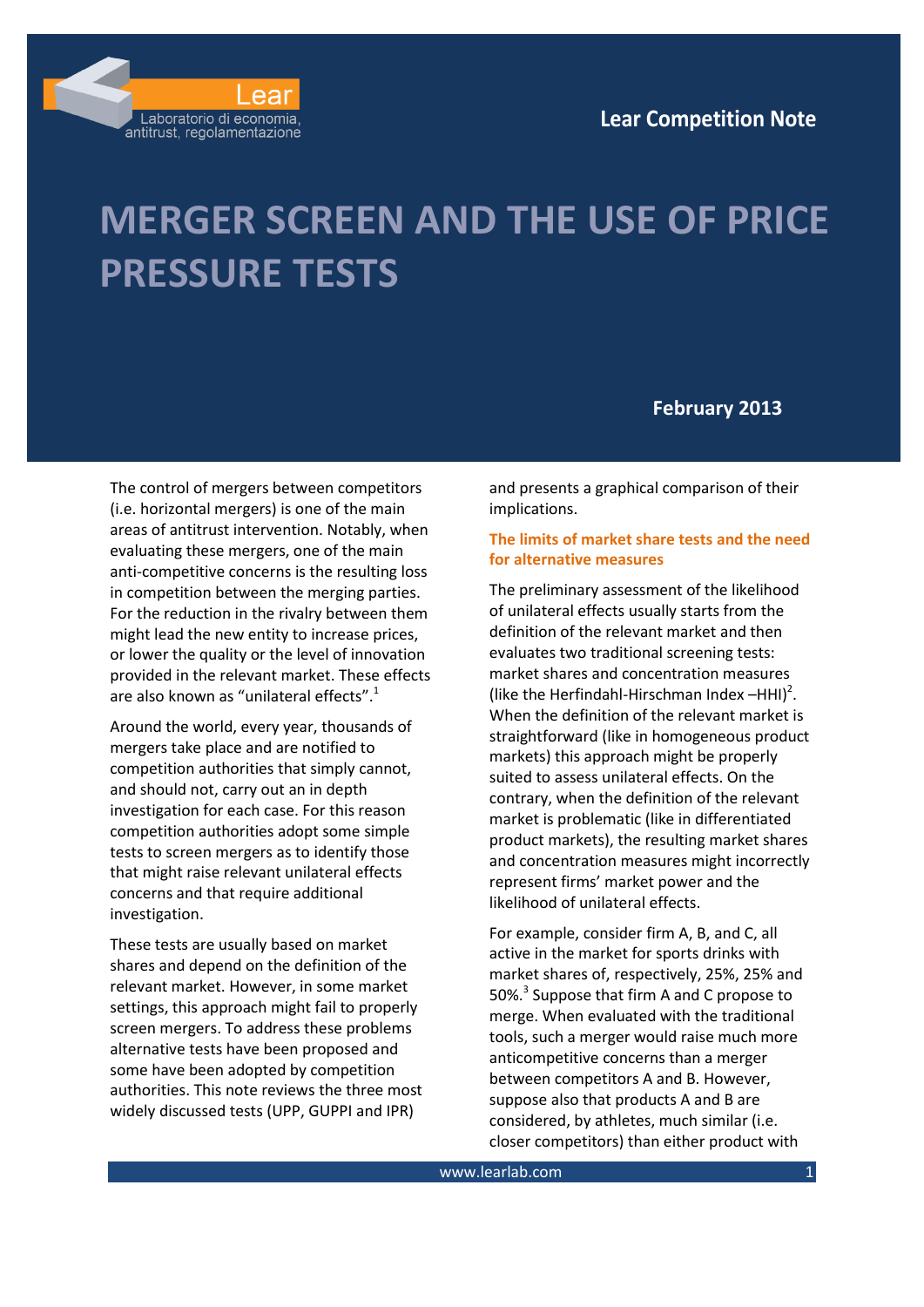

# **MERGER SCREEN AND THE USE OF PRICE PRESSURE TESTS**

# **February 2013**

The control of mergers between competitors (i.e. horizontal mergers) is one of the main areas of antitrust intervention. Notably, when evaluating these mergers, one of the main anti-competitive concerns is the resulting loss in competition between the merging parties. For the reduction in the rivalry between them might lead the new entity to increase prices, or lower the quality or the level of innovation provided in the relevant market. These effects are also known as "unilateral effects".<sup>1</sup>

Around the world, every year, thousands of mergers take place and are notified to competition authorities that simply cannot, and should not, carry out an in depth investigation for each case. For this reason competition authorities adopt some simple tests to screen mergers as to identify those that might raise relevant unilateral effects concerns and that require additional investigation.

These tests are usually based on market shares and depend on the definition of the relevant market. However, in some market settings, this approach might fail to properly screen mergers. To address these problems alternative tests have been proposed and some have been adopted by competition authorities. This note reviews the three most widely discussed tests (UPP, GUPPI and IPR)

and presents a graphical comparison of their implications.

# **The limits of market share tests and the need for alternative measures**

The preliminary assessment of the likelihood of unilateral effects usually starts from the definition of the relevant market and then evaluates two traditional screening tests: market shares and concentration measures (like the Herfindahl-Hirschman Index  $-HHI)^2$ . When the definition of the relevant market is straightforward (like in homogeneous product markets) this approach might be properly suited to assess unilateral effects. On the contrary, when the definition of the relevant market is problematic (like in differentiated product markets), the resulting market shares and concentration measures might incorrectly represent firms' market power and the likelihood of unilateral effects.

For example, consider firm A, B, and C, all active in the market for sports drinks with market shares of, respectively, 25%, 25% and 50%.<sup>3</sup> Suppose that firm A and C propose to merge. When evaluated with the traditional tools, such a merger would raise much more anticompetitive concerns than a merger between competitors A and B. However, suppose also that products A and B are considered, by athletes, much similar (i.e. closer competitors) than either product with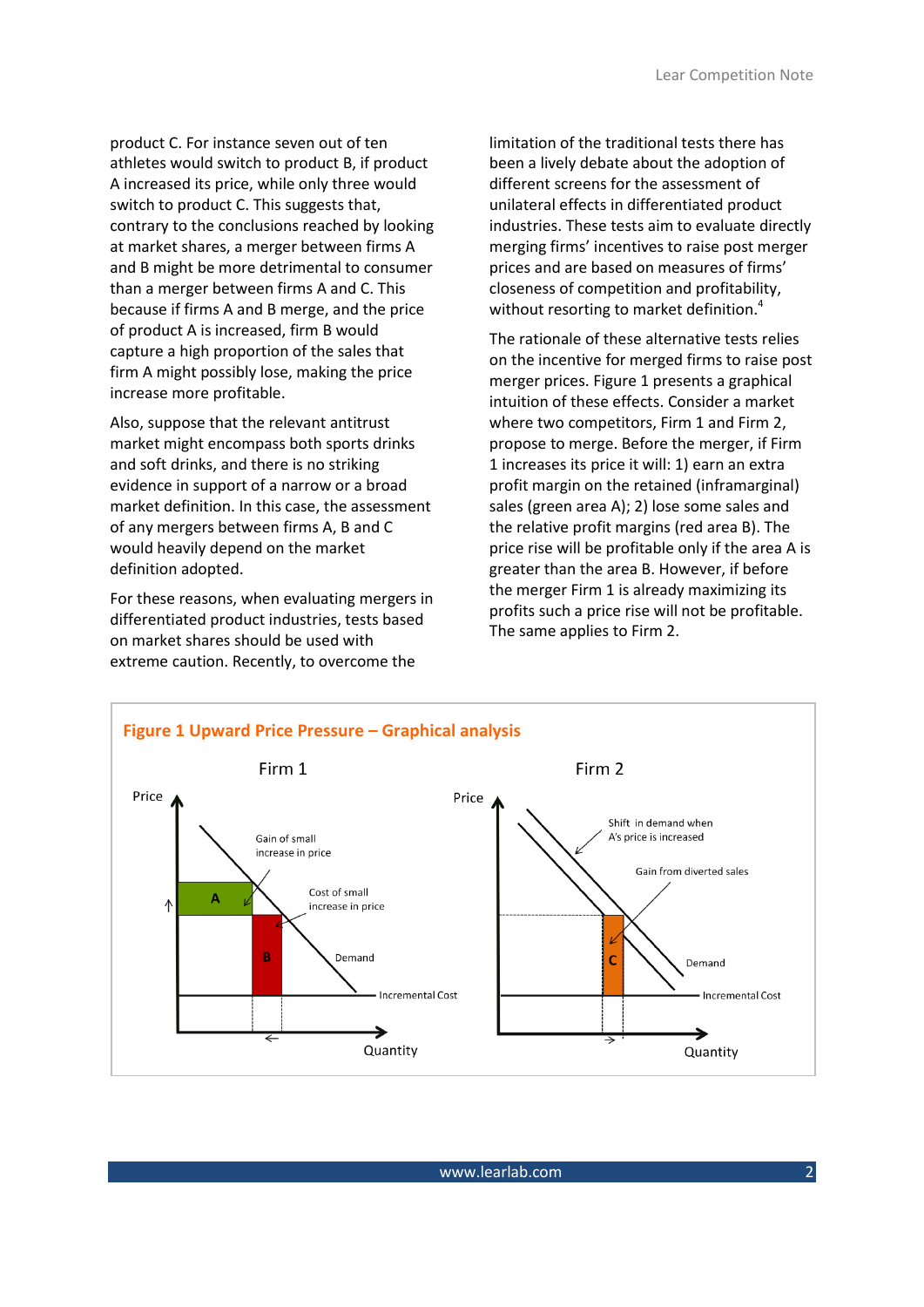product C. For instance seven out of ten athletes would switch to product B, if product A increased its price, while only three would switch to product C. This suggests that, contrary to the conclusions reached by looking at market shares, a merger between firms A and B might be more detrimental to consumer than a merger between firms A and C. This because if firms A and B merge, and the price of product A is increased, firm B would capture a high proportion of the sales that firm A might possibly lose, making the price increase more profitable.

Also, suppose that the relevant antitrust market might encompass both sports drinks and soft drinks, and there is no striking evidence in support of a narrow or a broad market definition. In this case, the assessment of any mergers between firms A, B and C would heavily depend on the market definition adopted.

For these reasons, when evaluating mergers in differentiated product industries, tests based on market shares should be used with extreme caution. Recently, to overcome the

limitation of the traditional tests there has been a lively debate about the adoption of different screens for the assessment of unilateral effects in differentiated product industries. These tests aim to evaluate directly merging firms' incentives to raise post merger prices and are based on measures of firms' closeness of competition and profitability, without resorting to market definition.<sup>4</sup>

The rationale of these alternative tests relies on the incentive for merged firms to raise post merger prices. [Figure 1](#page-1-0) presents a graphical intuition of these effects. Consider a market where two competitors, Firm 1 and Firm 2, propose to merge. Before the merger, if Firm 1 increases its price it will: 1) earn an extra profit margin on the retained (inframarginal) sales (green area A); 2) lose some sales and the relative profit margins (red area B). The price rise will be profitable only if the area A is greater than the area B. However, if before the merger Firm 1 is already maximizing its profits such a price rise will not be profitable. The same applies to Firm 2.

<span id="page-1-0"></span>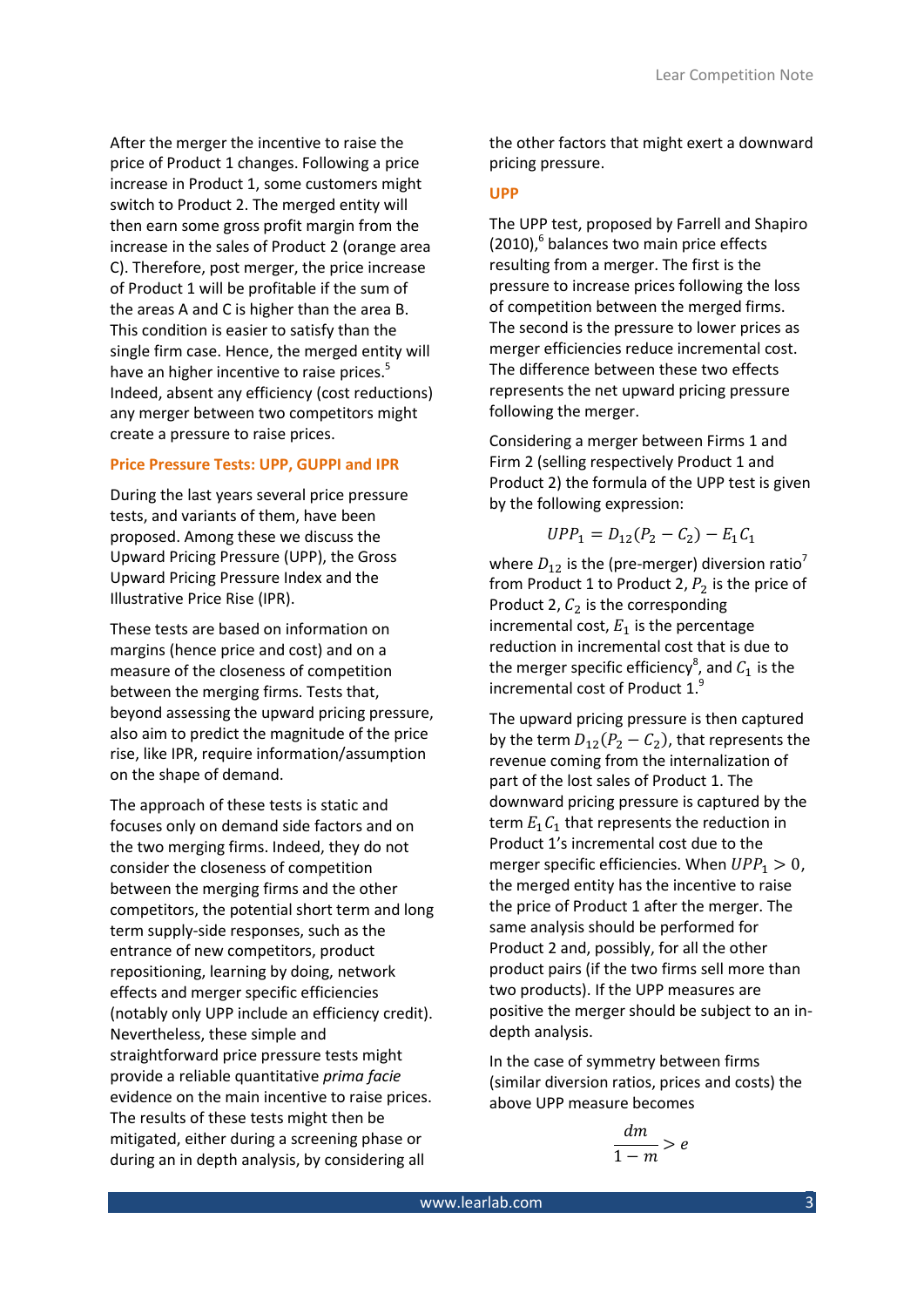After the merger the incentive to raise the price of Product 1 changes. Following a price increase in Product 1, some customers might switch to Product 2. The merged entity will then earn some gross profit margin from the increase in the sales of Product 2 (orange area C). Therefore, post merger, the price increase of Product 1 will be profitable if the sum of the areas A and C is higher than the area B. This condition is easier to satisfy than the single firm case. Hence, the merged entity will have an higher incentive to raise prices.<sup>5</sup> Indeed, absent any efficiency (cost reductions) any merger between two competitors might create a pressure to raise prices.

#### **Price Pressure Tests: UPP, GUPPI and IPR**

During the last years several price pressure tests, and variants of them, have been proposed. Among these we discuss the Upward Pricing Pressure (UPP), the Gross Upward Pricing Pressure Index and the Illustrative Price Rise (IPR).

These tests are based on information on margins (hence price and cost) and on a measure of the closeness of competition between the merging firms. Tests that, beyond assessing the upward pricing pressure, also aim to predict the magnitude of the price rise, like IPR, require information/assumption on the shape of demand.

The approach of these tests is static and focuses only on demand side factors and on the two merging firms. Indeed, they do not consider the closeness of competition between the merging firms and the other competitors, the potential short term and long term supply-side responses, such as the entrance of new competitors, product repositioning, learning by doing, network effects and merger specific efficiencies (notably only UPP include an efficiency credit). Nevertheless, these simple and straightforward price pressure tests might provide a reliable quantitative *prima facie*  evidence on the main incentive to raise prices. The results of these tests might then be mitigated, either during a screening phase or during an in depth analysis, by considering all

the other factors that might exert a downward pricing pressure.

## **UPP**

The UPP test, proposed by Farrell and Shapiro (2010),<sup>6</sup> balances two main price effects resulting from a merger. The first is the pressure to increase prices following the loss of competition between the merged firms. The second is the pressure to lower prices as merger efficiencies reduce incremental cost. The difference between these two effects represents the net upward pricing pressure following the merger.

Considering a merger between Firms 1 and Firm 2 (selling respectively Product 1 and Product 2) the formula of the UPP test is given by the following expression:

$$
UPP_1 = D_{12}(P_2 - C_2) - E_1 C_1
$$

where  $D_{12}$  is the (pre-merger) diversion ratio<sup>7</sup> from Product 1 to Product 2,  $P_2$  is the price of Product 2,  $C_2$  is the corresponding incremental cost,  $E_1$  is the percentage reduction in incremental cost that is due to the merger specific efficiency<sup>8</sup>, and  $C_1$  is the incremental cost of Product 1.9

The upward pricing pressure is then captured by the term  $D_{12}(P_2 - C_2)$ , that represents the revenue coming from the internalization of part of the lost sales of Product 1. The downward pricing pressure is captured by the term  $E_1C_1$  that represents the reduction in Product 1's incremental cost due to the merger specific efficiencies. When  $UPP<sub>1</sub> > 0$ , the merged entity has the incentive to raise the price of Product 1 after the merger. The same analysis should be performed for Product 2 and, possibly, for all the other product pairs (if the two firms sell more than two products). If the UPP measures are positive the merger should be subject to an indepth analysis.

In the case of symmetry between firms (similar diversion ratios, prices and costs) the above UPP measure becomes

$$
\frac{dm}{1-m} > e
$$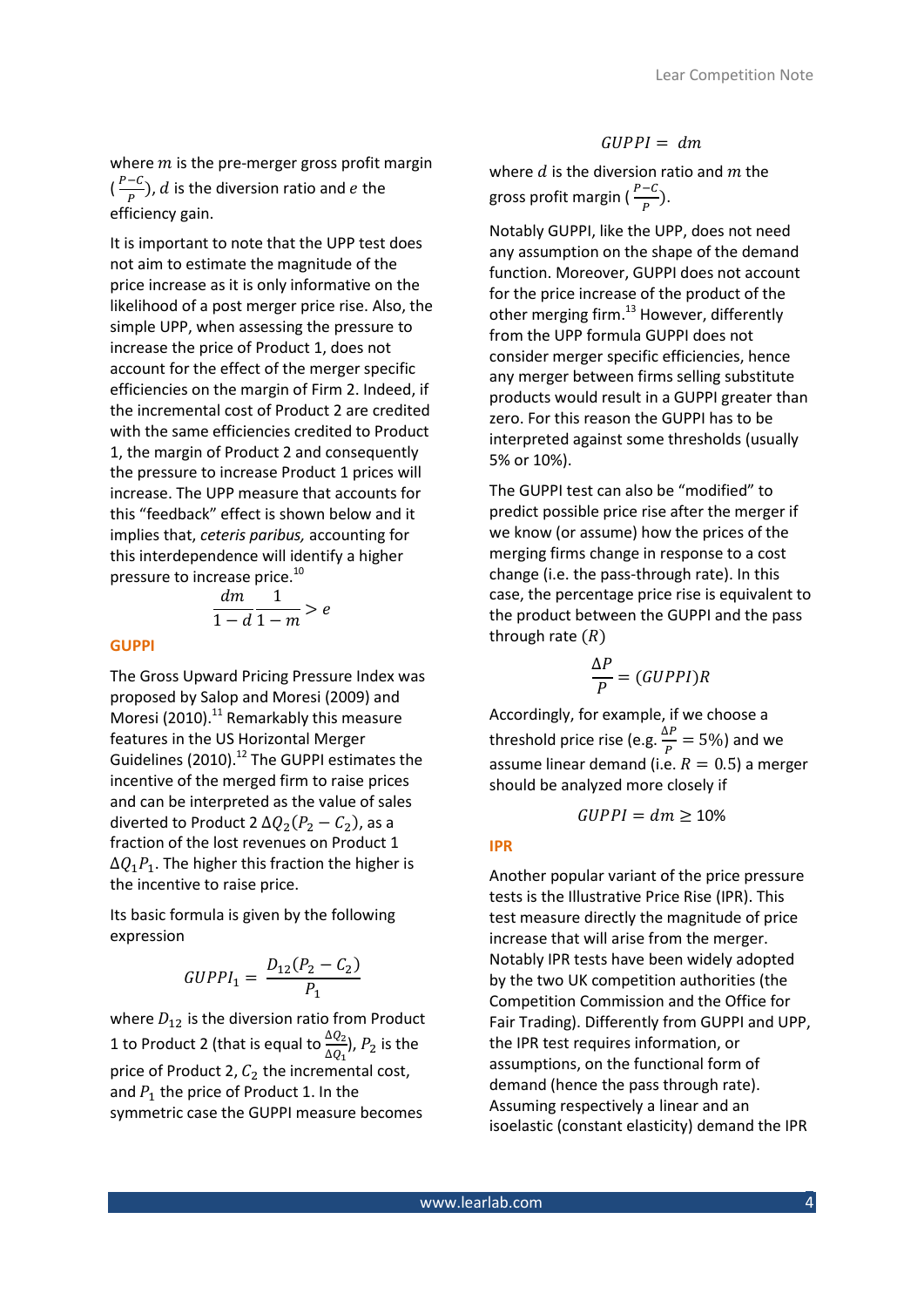where  $m$  is the pre-merger gross profit margin  $(\frac{r-c}{p})$ , d is the diversion ratio and e the efficiency gain.

It is important to note that the UPP test does not aim to estimate the magnitude of the price increase as it is only informative on the likelihood of a post merger price rise. Also, the simple UPP, when assessing the pressure to increase the price of Product 1, does not account for the effect of the merger specific efficiencies on the margin of Firm 2. Indeed, if the incremental cost of Product 2 are credited with the same efficiencies credited to Product 1, the margin of Product 2 and consequently the pressure to increase Product 1 prices will increase. The UPP measure that accounts for this "feedback" effect is shown below and it implies that, *ceteris paribus,* accounting for this interdependence will identify a higher pressure to increase price.<sup>10</sup>

$$
\frac{dm}{1-d}\frac{1}{1-m} > e
$$

#### **GUPPI**

The Gross Upward Pricing Pressure Index was proposed by Salop and Moresi (2009) and Moresi (2010). $^{11}$  Remarkably this measure features in the US Horizontal Merger Guidelines (2010). $^{12}$  The GUPPI estimates the incentive of the merged firm to raise prices and can be interpreted as the value of sales diverted to Product 2  $\Delta Q_2(P_2 - C_2)$ , as a fraction of the lost revenues on Product 1  $\Delta Q_1 P_1$ . The higher this fraction the higher is the incentive to raise price.

Its basic formula is given by the following expression

$$
GUPPI_1 = \frac{D_{12}(P_2 - C_2)}{P_1}
$$

where  $D_{12}$  is the diversion ratio from Product 1 to Product 2 (that is equal to  $\frac{\Delta Q_2}{\Delta Q_1}$ ),  $P_2$  is the price of Product 2,  $C_2$  the incremental cost, and  $P_1$  the price of Product 1. In the symmetric case the GUPPI measure becomes

# $GUPPI = dm$

where  $d$  is the diversion ratio and  $m$  the gross profit margin  $(\frac{r-c}{p})$ .

Notably GUPPI, like the UPP, does not need any assumption on the shape of the demand function. Moreover, GUPPI does not account for the price increase of the product of the other merging firm. $^{13}$  However, differently from the UPP formula GUPPI does not consider merger specific efficiencies, hence any merger between firms selling substitute products would result in a GUPPI greater than zero. For this reason the GUPPI has to be interpreted against some thresholds (usually 5% or 10%).

The GUPPI test can also be "modified" to predict possible price rise after the merger if we know (or assume) how the prices of the merging firms change in response to a cost change (i.e. the pass-through rate). In this case, the percentage price rise is equivalent to the product between the GUPPI and the pass through rate  $(R)$ 

$$
\frac{\Delta P}{P} = (GUPPI)R
$$

Accordingly, for example, if we choose a threshold price rise (e.g.  $\frac{\Delta F}{P} = 5\%$ ) and we assume linear demand (i.e.  $R = 0.5$ ) a merger should be analyzed more closely if

$$
GUPPI = dm \ge 10\%
$$

#### **IPR**

Another popular variant of the price pressure tests is the Illustrative Price Rise (IPR). This test measure directly the magnitude of price increase that will arise from the merger. Notably IPR tests have been widely adopted by the two UK competition authorities (the Competition Commission and the Office for Fair Trading). Differently from GUPPI and UPP, the IPR test requires information, or assumptions, on the functional form of demand (hence the pass through rate). Assuming respectively a linear and an isoelastic (constant elasticity) demand the IPR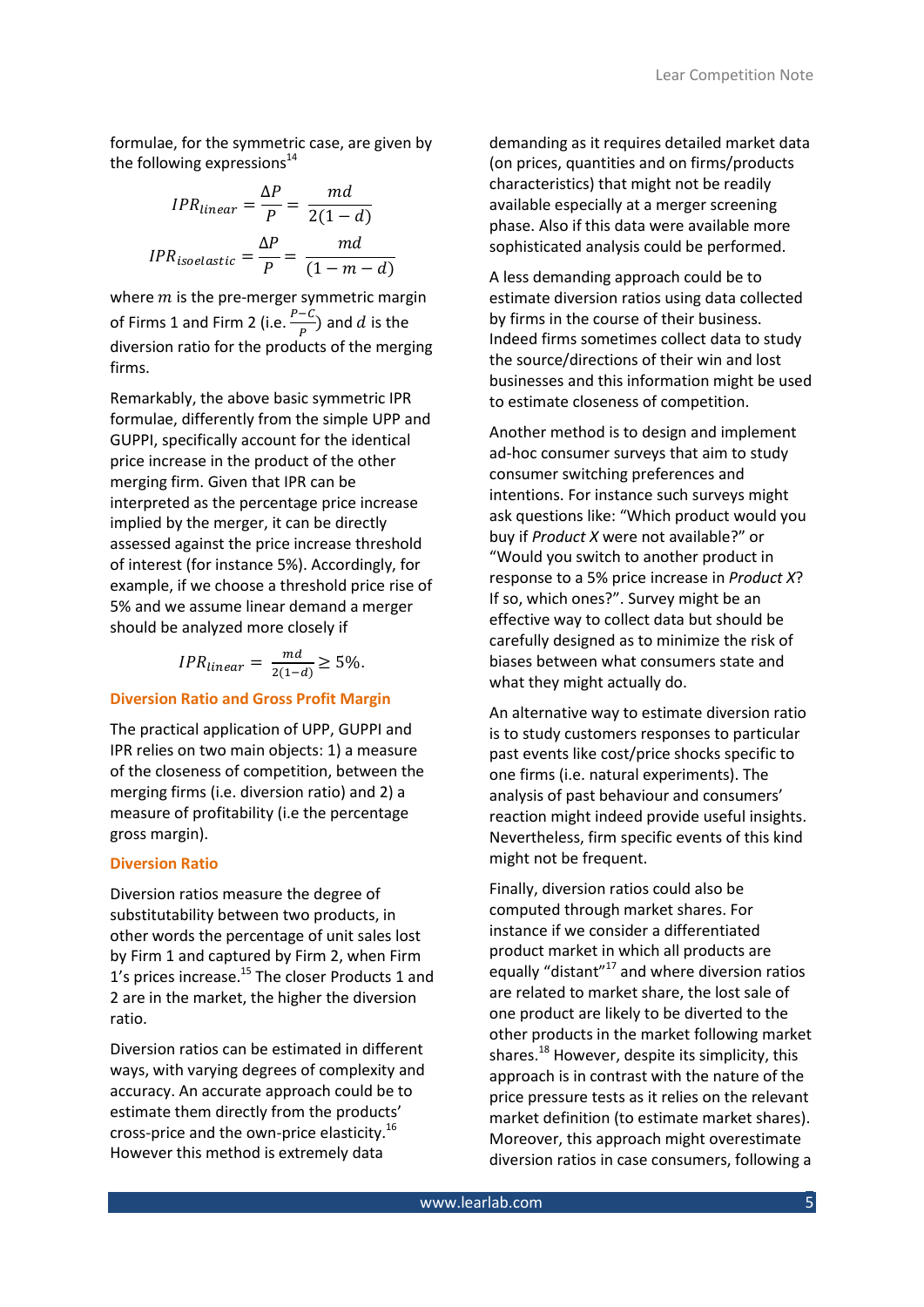formulae, for the symmetric case, are given by the following expressions $14$ 

$$
IPR_{linear} = \frac{\Delta P}{P} = \frac{md}{2(1-d)}
$$

$$
IPR_{isoelastic} = \frac{\Delta P}{P} = \frac{md}{(1-m-d)}
$$

where  $m$  is the pre-merger symmetric margin of Firms 1 and Firm 2 (i.e.  $\frac{r-c}{p}$ ) and d is the diversion ratio for the products of the merging firms.

Remarkably, the above basic symmetric IPR formulae, differently from the simple UPP and GUPPI, specifically account for the identical price increase in the product of the other merging firm. Given that IPR can be interpreted as the percentage price increase implied by the merger, it can be directly assessed against the price increase threshold of interest (for instance 5%). Accordingly, for example, if we choose a threshold price rise of 5% and we assume linear demand a merger should be analyzed more closely if

$$
IPR_{linear} = \frac{md}{2(1-d)} \ge 5\%.
$$

## **Diversion Ratio and Gross Profit Margin**

The practical application of UPP, GUPPI and IPR relies on two main objects: 1) a measure of the closeness of competition, between the merging firms (i.e. diversion ratio) and 2) a measure of profitability (i.e the percentage gross margin).

# **Diversion Ratio**

Diversion ratios measure the degree of substitutability between two products, in other words the percentage of unit sales lost by Firm 1 and captured by Firm 2, when Firm 1's prices increase.<sup>15</sup> The closer Products 1 and 2 are in the market, the higher the diversion ratio.

Diversion ratios can be estimated in different ways, with varying degrees of complexity and accuracy. An accurate approach could be to estimate them directly from the products' cross-price and the own-price elasticity.<sup>16</sup> However this method is extremely data

demanding as it requires detailed market data (on prices, quantities and on firms/products characteristics) that might not be readily available especially at a merger screening phase. Also if this data were available more sophisticated analysis could be performed.

A less demanding approach could be to estimate diversion ratios using data collected by firms in the course of their business. Indeed firms sometimes collect data to study the source/directions of their win and lost businesses and this information might be used to estimate closeness of competition.

Another method is to design and implement ad-hoc consumer surveys that aim to study consumer switching preferences and intentions. For instance such surveys might ask questions like: "Which product would you buy if *Product X* were not available?" or "Would you switch to another product in response to a 5% price increase in *Product X*? If so, which ones?". Survey might be an effective way to collect data but should be carefully designed as to minimize the risk of biases between what consumers state and what they might actually do.

An alternative way to estimate diversion ratio is to study customers responses to particular past events like cost/price shocks specific to one firms (i.e. natural experiments). The analysis of past behaviour and consumers' reaction might indeed provide useful insights. Nevertheless, firm specific events of this kind might not be frequent.

<span id="page-4-0"></span>Finally, diversion ratios could also be computed through market shares. For instance if we consider a differentiated product market in which all products are equally "distant"<sup>17</sup> and where diversion ratios are related to market share, the lost sale of one product are likely to be diverted to the other products in the market following market shares.<sup>18</sup> However, despite its simplicity, this approach is in contrast with the nature of the price pressure tests as it relies on the relevant market definition (to estimate market shares). Moreover, this approach might overestimate diversion ratios in case consumers, following a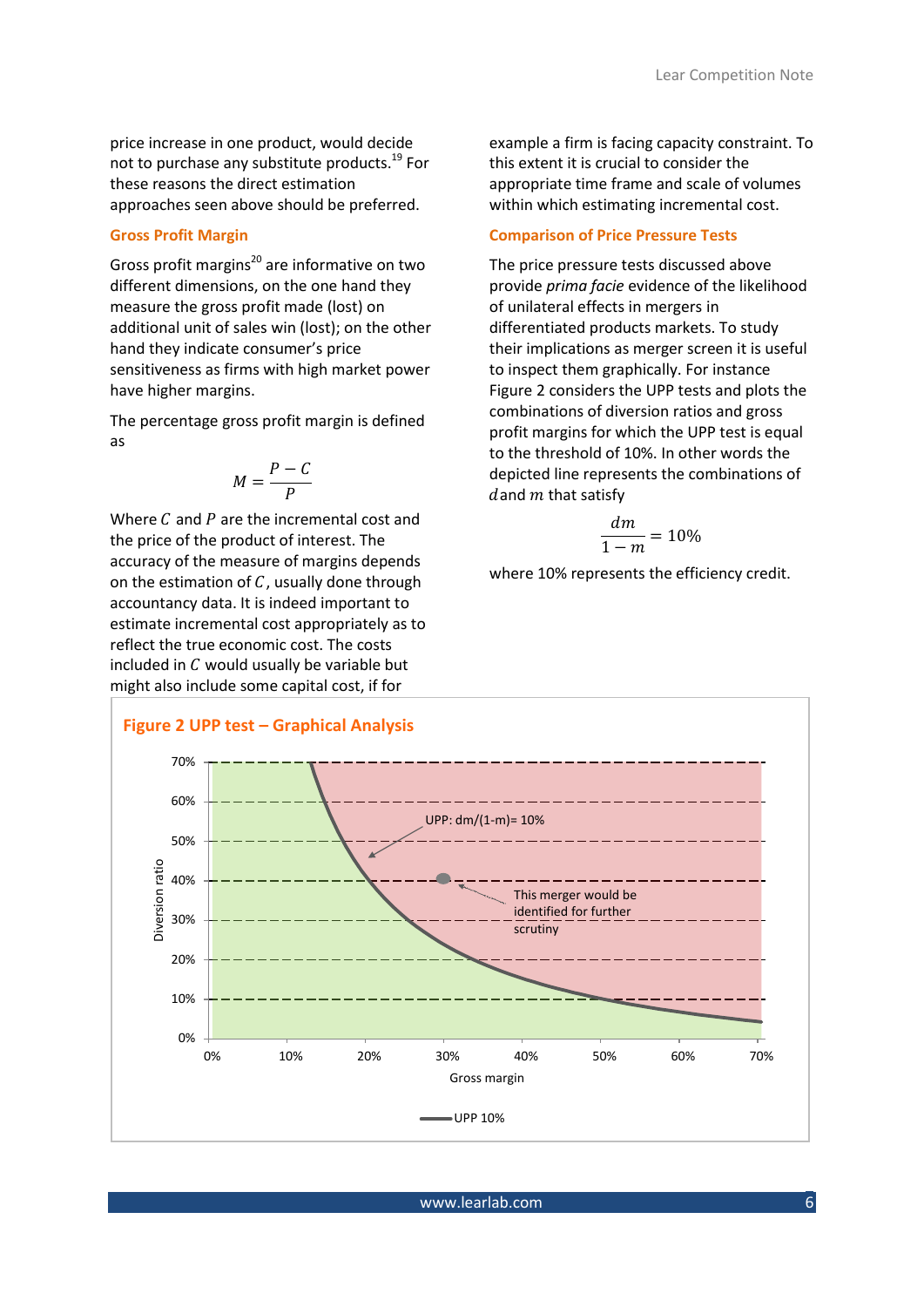price increase in one product, would decide not to purchase any substitute products.<sup>19</sup> For these reasons the direct estimation approaches seen above should be preferred.

# **Gross Profit Margin**

Gross profit margins<sup>20</sup> are informative on two different dimensions, on the one hand they measure the gross profit made (lost) on additional unit of sales win (lost); on the other hand they indicate consumer's price sensitiveness as firms with high market power have higher margins.

The percentage gross profit margin is defined as

$$
M=\frac{P-C}{P}
$$

Where  $C$  and  $P$  are the incremental cost and the price of the product of interest. The accuracy of the measure of margins depends on the estimation of  $C$ , usually done through accountancy data. It is indeed important to estimate incremental cost appropriately as to reflect the true economic cost. The costs included in  $C$  would usually be variable but might also include some capital cost, if for

example a firm is facing capacity constraint. To this extent it is crucial to consider the appropriate time frame and scale of volumes within which estimating incremental cost.

# **Comparison of Price Pressure Tests**

The price pressure tests discussed above provide *prima facie* evidence of the likelihood of unilateral effects in mergers in differentiated products markets. To study their implications as merger screen it is useful to inspect them graphically. For instance [Figure 2](#page-5-0) considers the UPP tests and plots the combinations of diversion ratios and gross profit margins for which the UPP test is equal to the threshold of 10%. In other words the depicted line represents the combinations of dand  $m$  that satisfy

$$
\frac{dm}{1-m} = 10\%
$$

where 10% represents the efficiency credit.

<span id="page-5-0"></span>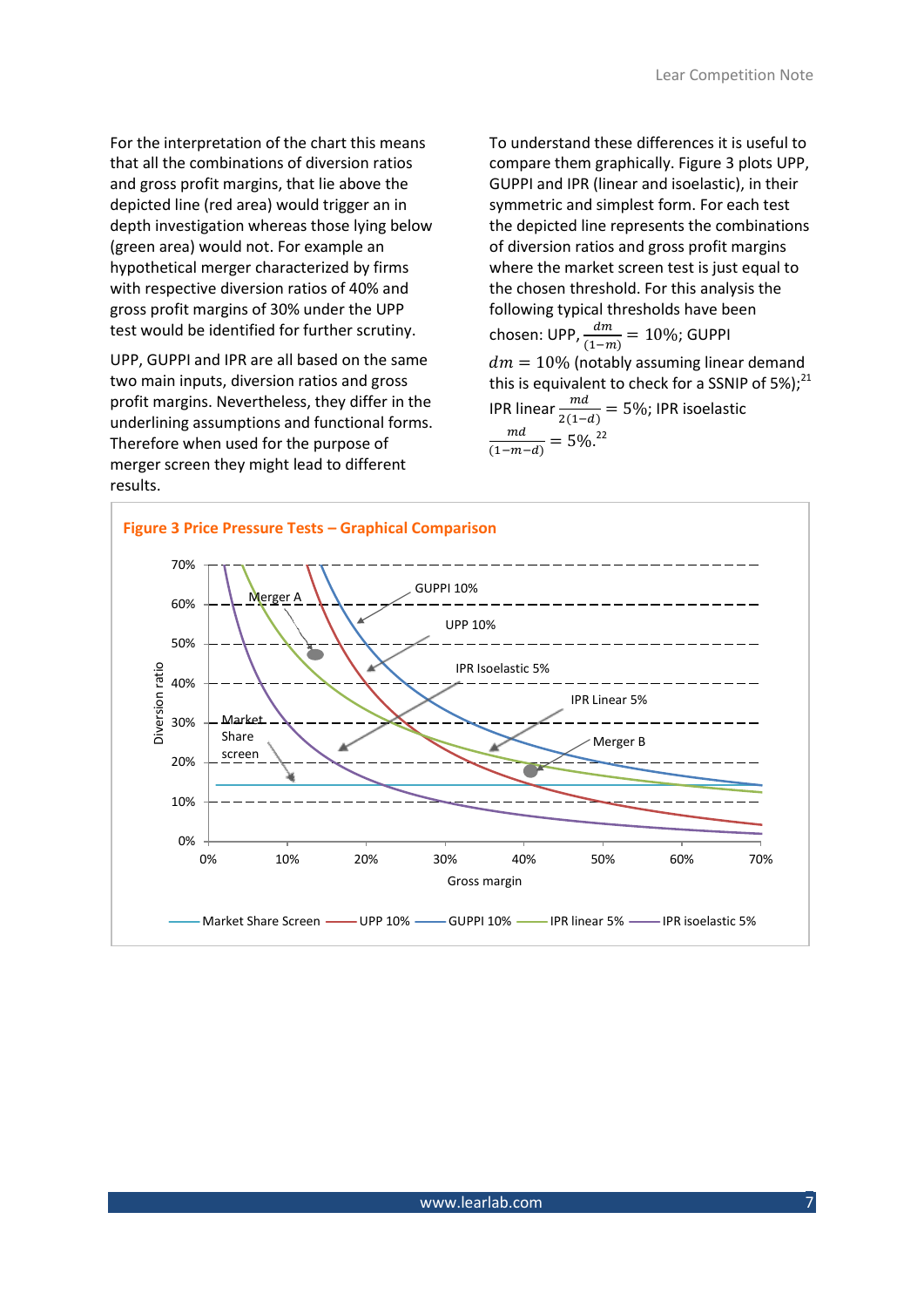For the interpretation of the chart this means that all the combinations of diversion ratios and gross profit margins, that lie above the depicted line (red area) would trigger an in depth investigation whereas those lying below (green area) would not. For example an hypothetical merger characterized by firms with respective diversion ratios of 40% and gross profit margins of 30% under the UPP test would be identified for further scrutiny.

UPP, GUPPI and IPR are all based on the same two main inputs, diversion ratios and gross profit margins. Nevertheless, they differ in the underlining assumptions and functional forms. Therefore when used for the purpose of merger screen they might lead to different results.

To understand these differences it is useful to compare them graphically. [Figure 3](#page-6-0) plots UPP, GUPPI and IPR (linear and isoelastic), in their symmetric and simplest form. For each test the depicted line represents the combinations of diversion ratios and gross profit margins where the market screen test is just equal to the chosen threshold. For this analysis the following typical thresholds have been chosen: UPP,  $\frac{am}{(1-m)} = 10\%$ ; GUPPI  $dm = 10\%$  (notably assuming linear demand this is equivalent to check for a SSNIP of 5%); $^{21}$ IPR linear  $\frac{ma}{2(1-d)} = 5\%$ ; IPR isoelastic md  $\overline{(1-m-d)}$  $=5\%$ <sup>22</sup>

<span id="page-6-0"></span>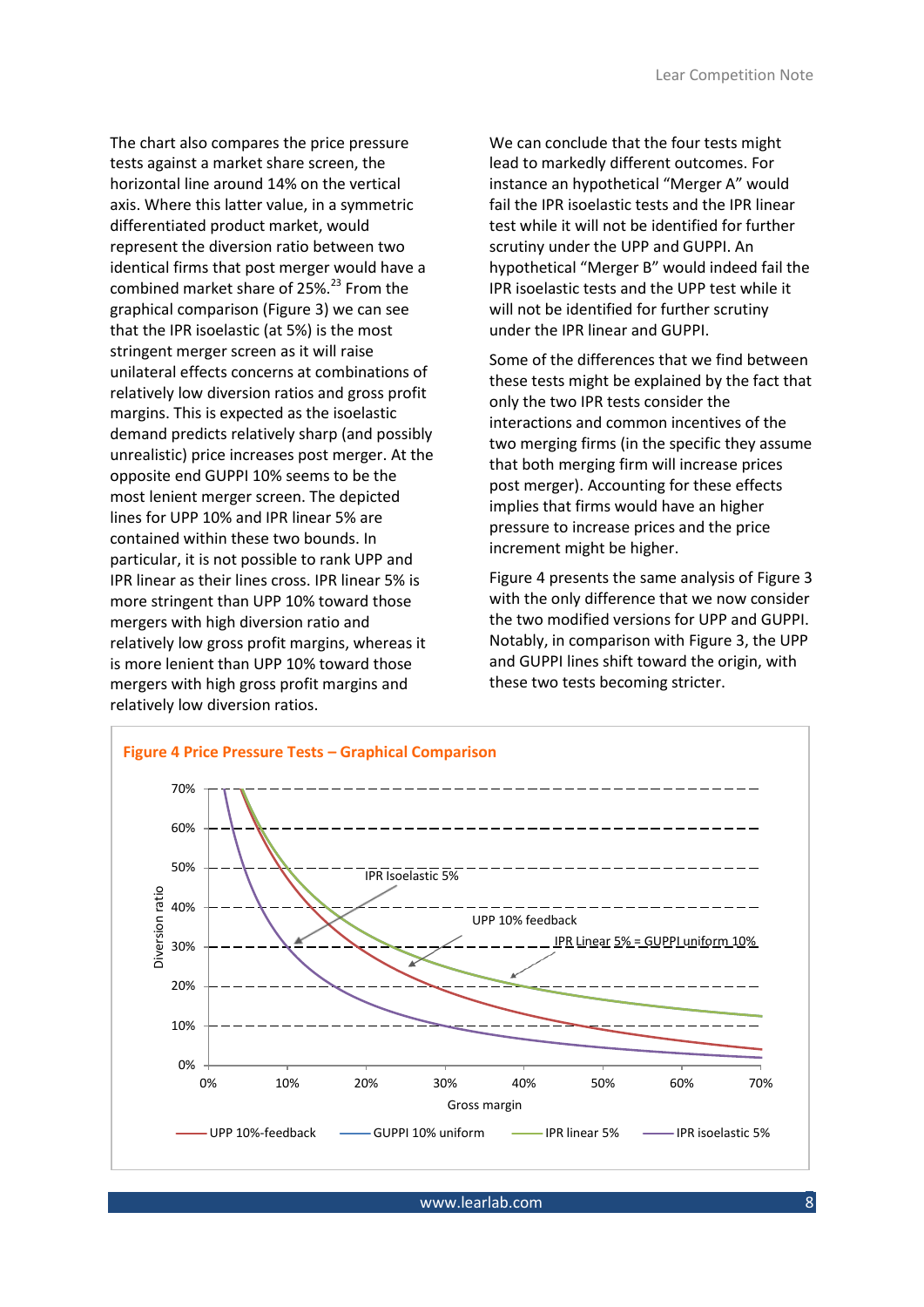The chart also compares the price pressure tests against a market share screen, the horizontal line around 14% on the vertical axis. Where this latter value, in a symmetric differentiated product market, would represent the diversion ratio between two identical firms that post merger would have a combined market share of 25%.<sup>23</sup> From the graphical comparison [\(Figure 3\)](#page-6-0) we can see that the IPR isoelastic (at 5%) is the most stringent merger screen as it will raise unilateral effects concerns at combinations of relatively low diversion ratios and gross profit margins. This is expected as the isoelastic demand predicts relatively sharp (and possibly unrealistic) price increases post merger. At the opposite end GUPPI 10% seems to be the most lenient merger screen. The depicted lines for UPP 10% and IPR linear 5% are contained within these two bounds. In particular, it is not possible to rank UPP and IPR linear as their lines cross. IPR linear 5% is more stringent than UPP 10% toward those mergers with high diversion ratio and relatively low gross profit margins, whereas it is more lenient than UPP 10% toward those mergers with high gross profit margins and relatively low diversion ratios.

We can conclude that the four tests might lead to markedly different outcomes. For instance an hypothetical "Merger A" would fail the IPR isoelastic tests and the IPR linear test while it will not be identified for further scrutiny under the UPP and GUPPI. An hypothetical "Merger B" would indeed fail the IPR isoelastic tests and the UPP test while it will not be identified for further scrutiny under the IPR linear and GUPPI.

Some of the differences that we find between these tests might be explained by the fact that only the two IPR tests consider the interactions and common incentives of the two merging firms (in the specific they assume that both merging firm will increase prices post merger). Accounting for these effects implies that firms would have an higher pressure to increase prices and the price increment might be higher.

[Figure 4](#page-7-0) presents the same analysis o[f Figure 3](#page-6-0) with the only difference that we now consider the two modified versions for UPP and GUPPI. Notably, in comparison with [Figure 3,](#page-6-0) the UPP and GUPPI lines shift toward the origin, with these two tests becoming stricter.

<span id="page-7-0"></span>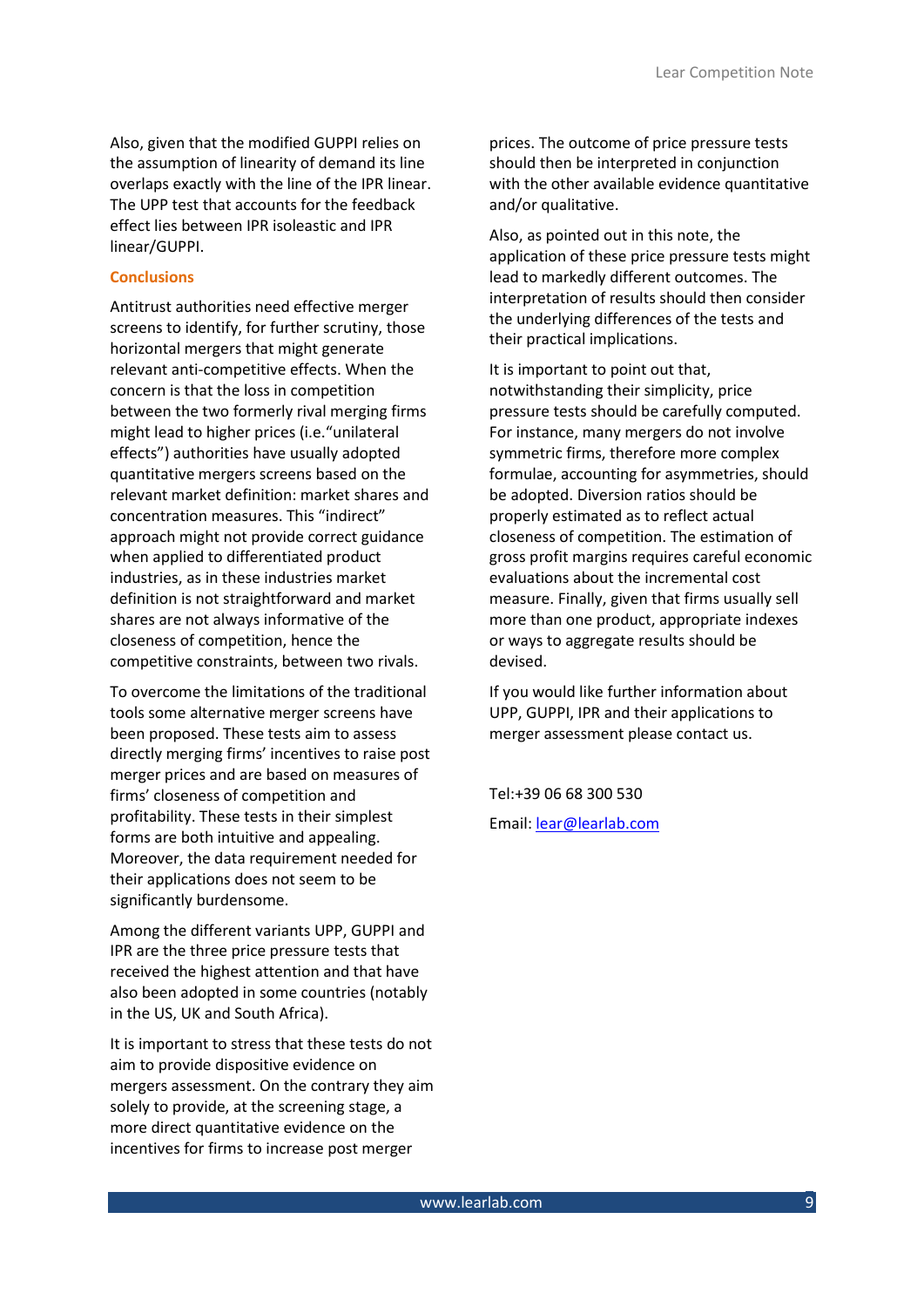Also, given that the modified GUPPI relies on the assumption of linearity of demand its line overlaps exactly with the line of the IPR linear. The UPP test that accounts for the feedback effect lies between IPR isoleastic and IPR linear/GUPPI.

# **Conclusions**

Antitrust authorities need effective merger screens to identify, for further scrutiny, those horizontal mergers that might generate relevant anti-competitive effects. When the concern is that the loss in competition between the two formerly rival merging firms might lead to higher prices (i.e."unilateral effects") authorities have usually adopted quantitative mergers screens based on the relevant market definition: market shares and concentration measures. This "indirect" approach might not provide correct guidance when applied to differentiated product industries, as in these industries market definition is not straightforward and market shares are not always informative of the closeness of competition, hence the competitive constraints, between two rivals.

To overcome the limitations of the traditional tools some alternative merger screens have been proposed. These tests aim to assess directly merging firms' incentives to raise post merger prices and are based on measures of firms' closeness of competition and profitability. These tests in their simplest forms are both intuitive and appealing. Moreover, the data requirement needed for their applications does not seem to be significantly burdensome.

Among the different variants UPP, GUPPI and IPR are the three price pressure tests that received the highest attention and that have also been adopted in some countries (notably in the US, UK and South Africa).

It is important to stress that these tests do not aim to provide dispositive evidence on mergers assessment. On the contrary they aim solely to provide, at the screening stage, a more direct quantitative evidence on the incentives for firms to increase post merger

prices. The outcome of price pressure tests should then be interpreted in conjunction with the other available evidence quantitative and/or qualitative.

Also, as pointed out in this note, the application of these price pressure tests might lead to markedly different outcomes. The interpretation of results should then consider the underlying differences of the tests and their practical implications.

It is important to point out that, notwithstanding their simplicity, price pressure tests should be carefully computed. For instance, many mergers do not involve symmetric firms, therefore more complex formulae, accounting for asymmetries, should be adopted. Diversion ratios should be properly estimated as to reflect actual closeness of competition. The estimation of gross profit margins requires careful economic evaluations about the incremental cost measure. Finally, given that firms usually sell more than one product, appropriate indexes or ways to aggregate results should be devised.

If you would like further information about UPP, GUPPI, IPR and their applications to merger assessment please contact us.

Tel:+39 06 68 300 530

Email: [lear@learlab.com](mailto:lear@learlab.com)